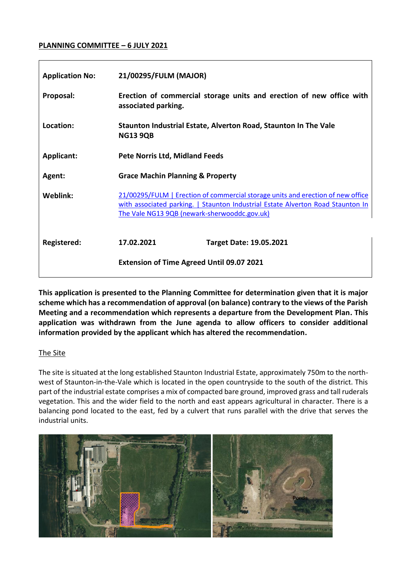#### **PLANNING COMMITTEE – 6 JULY 2021**

| <b>Application No:</b> | 21/00295/FULM (MAJOR)                                                                                                                                                                                              |
|------------------------|--------------------------------------------------------------------------------------------------------------------------------------------------------------------------------------------------------------------|
| Proposal:              | Erection of commercial storage units and erection of new office with<br>associated parking.                                                                                                                        |
| Location:              | Staunton Industrial Estate, Alverton Road, Staunton In The Vale<br><b>NG13 9QB</b>                                                                                                                                 |
| Applicant:             | <b>Pete Norris Ltd, Midland Feeds</b>                                                                                                                                                                              |
| Agent:                 | <b>Grace Machin Planning &amp; Property</b>                                                                                                                                                                        |
| Weblink:               | 21/00295/FULM   Erection of commercial storage units and erection of new office<br>with associated parking.   Staunton Industrial Estate Alverton Road Staunton In<br>The Vale NG13 9QB (newark-sherwooddc.gov.uk) |
| Registered:            | 17.02.2021<br><b>Target Date: 19.05.2021</b>                                                                                                                                                                       |
|                        | <b>Extension of Time Agreed Until 09.07 2021</b>                                                                                                                                                                   |

**This application is presented to the Planning Committee for determination given that it is major scheme which has a recommendation of approval (on balance) contrary to the views of the Parish Meeting and a recommendation which represents a departure from the Development Plan. This application was withdrawn from the June agenda to allow officers to consider additional information provided by the applicant which has altered the recommendation.**

#### The Site

The site is situated at the long established Staunton Industrial Estate, approximately 750m to the northwest of Staunton-in-the-Vale which is located in the open countryside to the south of the district. This part of the industrial estate comprises a mix of compacted bare ground, improved grass and tall ruderals vegetation. This and the wider field to the north and east appears agricultural in character. There is a balancing pond located to the east, fed by a culvert that runs parallel with the drive that serves the industrial units.

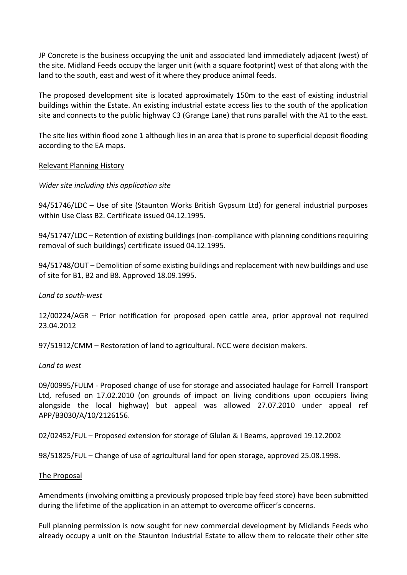JP Concrete is the business occupying the unit and associated land immediately adjacent (west) of the site. Midland Feeds occupy the larger unit (with a square footprint) west of that along with the land to the south, east and west of it where they produce animal feeds.

The proposed development site is located approximately 150m to the east of existing industrial buildings within the Estate. An existing industrial estate access lies to the south of the application site and connects to the public highway C3 (Grange Lane) that runs parallel with the A1 to the east.

The site lies within flood zone 1 although lies in an area that is prone to superficial deposit flooding according to the EA maps.

#### Relevant Planning History

### *Wider site including this application site*

94/51746/LDC – Use of site (Staunton Works British Gypsum Ltd) for general industrial purposes within Use Class B2. Certificate issued 04.12.1995.

94/51747/LDC – Retention of existing buildings (non-compliance with planning conditions requiring removal of such buildings) certificate issued 04.12.1995.

94/51748/OUT – Demolition of some existing buildings and replacement with new buildings and use of site for B1, B2 and B8. Approved 18.09.1995.

#### *Land to south-west*

12/00224/AGR – Prior notification for proposed open cattle area, prior approval not required 23.04.2012

97/51912/CMM – Restoration of land to agricultural. NCC were decision makers.

#### *Land to west*

09/00995/FULM - Proposed change of use for storage and associated haulage for Farrell Transport Ltd, refused on 17.02.2010 (on grounds of impact on living conditions upon occupiers living alongside the local highway) but appeal was allowed 27.07.2010 under appeal ref APP/B3030/A/10/2126156.

02/02452/FUL – Proposed extension for storage of Glulan & I Beams, approved 19.12.2002

98/51825/FUL – Change of use of agricultural land for open storage, approved 25.08.1998.

#### The Proposal

Amendments (involving omitting a previously proposed triple bay feed store) have been submitted during the lifetime of the application in an attempt to overcome officer's concerns.

Full planning permission is now sought for new commercial development by Midlands Feeds who already occupy a unit on the Staunton Industrial Estate to allow them to relocate their other site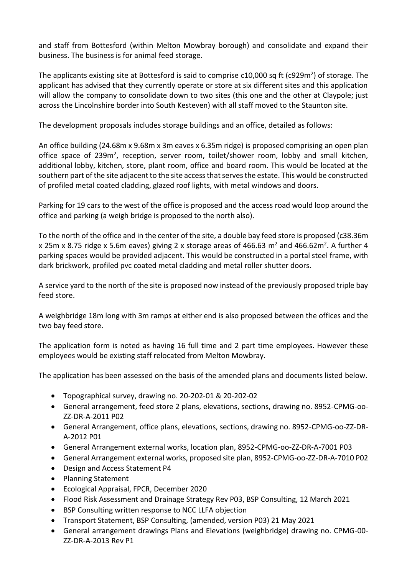and staff from Bottesford (within Melton Mowbray borough) and consolidate and expand their business. The business is for animal feed storage.

The applicants existing site at Bottesford is said to comprise  $c10,000$  sq ft (c929m<sup>2</sup>) of storage. The applicant has advised that they currently operate or store at six different sites and this application will allow the company to consolidate down to two sites (this one and the other at Claypole; just across the Lincolnshire border into South Kesteven) with all staff moved to the Staunton site.

The development proposals includes storage buildings and an office, detailed as follows:

An office building (24.68m x 9.68m x 3m eaves x 6.35m ridge) is proposed comprising an open plan office space of 239m<sup>2</sup>, reception, server room, toilet/shower room, lobby and small kitchen, additional lobby, kitchen, store, plant room, office and board room. This would be located at the southern part of the site adjacent to the site access that serves the estate. This would be constructed of profiled metal coated cladding, glazed roof lights, with metal windows and doors.

Parking for 19 cars to the west of the office is proposed and the access road would loop around the office and parking (a weigh bridge is proposed to the north also).

To the north of the office and in the center of the site, a double bay feed store is proposed (c38.36m x 25m x 8.75 ridge x 5.6m eaves) giving 2 x storage areas of 466.63 m<sup>2</sup> and 466.62m<sup>2</sup>. A further 4 parking spaces would be provided adjacent. This would be constructed in a portal steel frame, with dark brickwork, profiled pvc coated metal cladding and metal roller shutter doors.

A service yard to the north of the site is proposed now instead of the previously proposed triple bay feed store.

A weighbridge 18m long with 3m ramps at either end is also proposed between the offices and the two bay feed store.

The application form is noted as having 16 full time and 2 part time employees. However these employees would be existing staff relocated from Melton Mowbray.

The application has been assessed on the basis of the amended plans and documents listed below.

- Topographical survey, drawing no. 20-202-01 & 20-202-02
- General arrangement, feed store 2 plans, elevations, sections, drawing no. 8952-CPMG-oo-ZZ-DR-A-2011 P02
- General Arrangement, office plans, elevations, sections, drawing no. 8952-CPMG-oo-ZZ-DR-A-2012 P01
- General Arrangement external works, location plan, 8952-CPMG-oo-ZZ-DR-A-7001 P03
- General Arrangement external works, proposed site plan, 8952-CPMG-oo-ZZ-DR-A-7010 P02
- Design and Access Statement P4
- Planning Statement
- Ecological Appraisal, FPCR, December 2020
- Flood Risk Assessment and Drainage Strategy Rev P03, BSP Consulting, 12 March 2021
- BSP Consulting written response to NCC LLFA objection
- Transport Statement, BSP Consulting, (amended, version P03) 21 May 2021
- General arrangement drawings Plans and Elevations (weighbridge) drawing no. CPMG-00- ZZ-DR-A-2013 Rev P1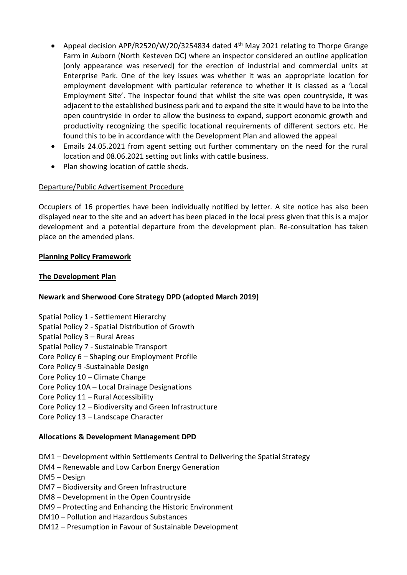- Appeal decision APP/R2520/W/20/3254834 dated 4<sup>th</sup> May 2021 relating to Thorpe Grange Farm in Auborn (North Kesteven DC) where an inspector considered an outline application (only appearance was reserved) for the erection of industrial and commercial units at Enterprise Park. One of the key issues was whether it was an appropriate location for employment development with particular reference to whether it is classed as a 'Local Employment Site'. The inspector found that whilst the site was open countryside, it was adjacent to the established business park and to expand the site it would have to be into the open countryside in order to allow the business to expand, support economic growth and productivity recognizing the specific locational requirements of different sectors etc. He found this to be in accordance with the Development Plan and allowed the appeal
- Emails 24.05.2021 from agent setting out further commentary on the need for the rural location and 08.06.2021 setting out links with cattle business.
- Plan showing location of cattle sheds.

# Departure/Public Advertisement Procedure

Occupiers of 16 properties have been individually notified by letter. A site notice has also been displayed near to the site and an advert has been placed in the local press given that this is a major development and a potential departure from the development plan. Re-consultation has taken place on the amended plans.

# **Planning Policy Framework**

### **The Development Plan**

# **Newark and Sherwood Core Strategy DPD (adopted March 2019)**

- Spatial Policy 1 Settlement Hierarchy
- Spatial Policy 2 Spatial Distribution of Growth
- Spatial Policy 3 Rural Areas
- Spatial Policy 7 Sustainable Transport
- Core Policy 6 Shaping our Employment Profile
- Core Policy 9 -Sustainable Design
- Core Policy 10 Climate Change
- Core Policy 10A Local Drainage Designations
- Core Policy 11 Rural Accessibility
- Core Policy 12 Biodiversity and Green Infrastructure
- Core Policy 13 Landscape Character

#### **Allocations & Development Management DPD**

- DM1 Development within Settlements Central to Delivering the Spatial Strategy
- DM4 Renewable and Low Carbon Energy Generation
- DM5 Design
- DM7 Biodiversity and Green Infrastructure
- DM8 Development in the Open Countryside
- DM9 Protecting and Enhancing the Historic Environment
- DM10 Pollution and Hazardous Substances
- DM12 Presumption in Favour of Sustainable Development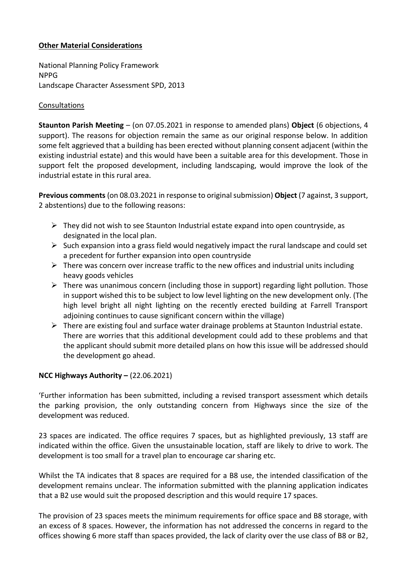### **Other Material Considerations**

National Planning Policy Framework NPPG Landscape Character Assessment SPD, 2013

### Consultations

**Staunton Parish Meeting** – (on 07.05.2021 in response to amended plans) **Object** (6 objections, 4 support). The reasons for objection remain the same as our original response below. In addition some felt aggrieved that a building has been erected without planning consent adjacent (within the existing industrial estate) and this would have been a suitable area for this development. Those in support felt the proposed development, including landscaping, would improve the look of the industrial estate in this rural area.

**Previous comments**(on 08.03.2021 in response to original submission) **Object** (7 against, 3 support, 2 abstentions) due to the following reasons:

- $\triangleright$  They did not wish to see Staunton Industrial estate expand into open countryside, as designated in the local plan.
- $\triangleright$  Such expansion into a grass field would negatively impact the rural landscape and could set a precedent for further expansion into open countryside
- $\triangleright$  There was concern over increase traffic to the new offices and industrial units including heavy goods vehicles
- $\triangleright$  There was unanimous concern (including those in support) regarding light pollution. Those in support wished this to be subject to low level lighting on the new development only. (The high level bright all night lighting on the recently erected building at Farrell Transport adjoining continues to cause significant concern within the village)
- $\triangleright$  There are existing foul and surface water drainage problems at Staunton Industrial estate. There are worries that this additional development could add to these problems and that the applicant should submit more detailed plans on how this issue will be addressed should the development go ahead.

# **NCC Highways Authority –** (22.06.2021)

'Further information has been submitted, including a revised transport assessment which details the parking provision, the only outstanding concern from Highways since the size of the development was reduced.

23 spaces are indicated. The office requires 7 spaces, but as highlighted previously, 13 staff are indicated within the office. Given the unsustainable location, staff are likely to drive to work. The development is too small for a travel plan to encourage car sharing etc.

Whilst the TA indicates that 8 spaces are required for a B8 use, the intended classification of the development remains unclear. The information submitted with the planning application indicates that a B2 use would suit the proposed description and this would require 17 spaces.

The provision of 23 spaces meets the minimum requirements for office space and B8 storage, with an excess of 8 spaces. However, the information has not addressed the concerns in regard to the offices showing 6 more staff than spaces provided, the lack of clarity over the use class of B8 or B2,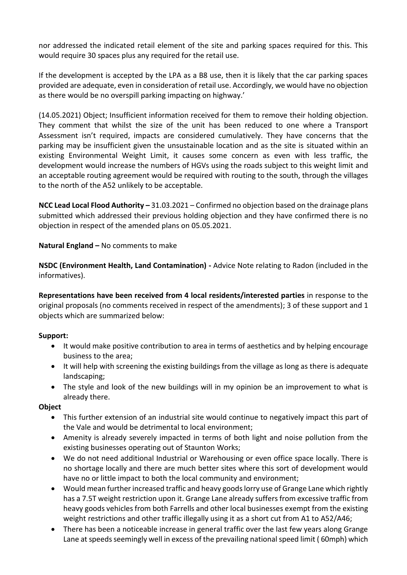nor addressed the indicated retail element of the site and parking spaces required for this. This would require 30 spaces plus any required for the retail use.

If the development is accepted by the LPA as a B8 use, then it is likely that the car parking spaces provided are adequate, even in consideration of retail use. Accordingly, we would have no objection as there would be no overspill parking impacting on highway.'

(14.05.2021) Object; Insufficient information received for them to remove their holding objection. They comment that whilst the size of the unit has been reduced to one where a Transport Assessment isn't required, impacts are considered cumulatively. They have concerns that the parking may be insufficient given the unsustainable location and as the site is situated within an existing Environmental Weight Limit, it causes some concern as even with less traffic, the development would increase the numbers of HGVs using the roads subject to this weight limit and an acceptable routing agreement would be required with routing to the south, through the villages to the north of the A52 unlikely to be acceptable.

**NCC Lead Local Flood Authority –** 31.03.2021 – Confirmed no objection based on the drainage plans submitted which addressed their previous holding objection and they have confirmed there is no objection in respect of the amended plans on 05.05.2021.

**Natural England –** No comments to make

**NSDC (Environment Health, Land Contamination) -** Advice Note relating to Radon (included in the informatives).

**Representations have been received from 4 local residents/interested parties** in response to the original proposals (no comments received in respect of the amendments); 3 of these support and 1 objects which are summarized below:

#### **Support:**

- It would make positive contribution to area in terms of aesthetics and by helping encourage business to the area;
- It will help with screening the existing buildings from the village as long as there is adequate landscaping;
- The style and look of the new buildings will in my opinion be an improvement to what is already there.

#### **Object**

- This further extension of an industrial site would continue to negatively impact this part of the Vale and would be detrimental to local environment;
- Amenity is already severely impacted in terms of both light and noise pollution from the existing businesses operating out of Staunton Works;
- We do not need additional Industrial or Warehousing or even office space locally. There is no shortage locally and there are much better sites where this sort of development would have no or little impact to both the local community and environment;
- Would mean further increased traffic and heavy goods lorry use of Grange Lane which rightly has a 7.5T weight restriction upon it. Grange Lane already suffers from excessive traffic from heavy goods vehicles from both Farrells and other local businesses exempt from the existing weight restrictions and other traffic illegally using it as a short cut from A1 to A52/A46;
- There has been a noticeable increase in general traffic over the last few years along Grange Lane at speeds seemingly well in excess of the prevailing national speed limit ( 60mph) which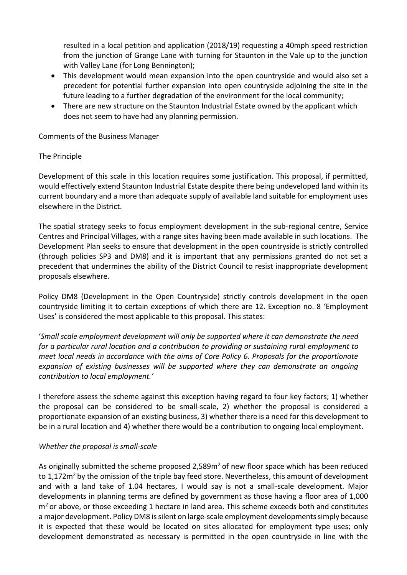resulted in a local petition and application (2018/19) requesting a 40mph speed restriction from the junction of Grange Lane with turning for Staunton in the Vale up to the junction with Valley Lane (for Long Bennington);

- This development would mean expansion into the open countryside and would also set a precedent for potential further expansion into open countryside adjoining the site in the future leading to a further degradation of the environment for the local community;
- There are new structure on the Staunton Industrial Estate owned by the applicant which does not seem to have had any planning permission.

# Comments of the Business Manager

### The Principle

Development of this scale in this location requires some justification. This proposal, if permitted, would effectively extend Staunton Industrial Estate despite there being undeveloped land within its current boundary and a more than adequate supply of available land suitable for employment uses elsewhere in the District.

The spatial strategy seeks to focus employment development in the sub-regional centre, Service Centres and Principal Villages, with a range sites having been made available in such locations. The Development Plan seeks to ensure that development in the open countryside is strictly controlled (through policies SP3 and DM8) and it is important that any permissions granted do not set a precedent that undermines the ability of the District Council to resist inappropriate development proposals elsewhere.

Policy DM8 (Development in the Open Countryside) strictly controls development in the open countryside limiting it to certain exceptions of which there are 12. Exception no. 8 'Employment Uses' is considered the most applicable to this proposal. This states:

'*Small scale employment development will only be supported where it can demonstrate the need for a particular rural location and a contribution to providing or sustaining rural employment to meet local needs in accordance with the aims of Core Policy 6. Proposals for the proportionate expansion of existing businesses will be supported where they can demonstrate an ongoing contribution to local employment.'*

I therefore assess the scheme against this exception having regard to four key factors; 1) whether the proposal can be considered to be small-scale, 2) whether the proposal is considered a proportionate expansion of an existing business, 3) whether there is a need for this development to be in a rural location and 4) whether there would be a contribution to ongoing local employment.

# *Whether the proposal is small-scale*

As originally submitted the scheme proposed 2,589m<sup>2</sup> of new floor space which has been reduced to 1,172m<sup>2</sup> by the omission of the triple bay feed store. Nevertheless, this amount of development and with a land take of 1.04 hectares, I would say is not a small-scale development. Major developments in planning terms are defined by government as those having a floor area of 1,000  $m<sup>2</sup>$  or above, or those exceeding 1 hectare in land area. This scheme exceeds both and constitutes a major development. Policy DM8 is silent on large-scale employment developments simply because it is expected that these would be located on sites allocated for employment type uses; only development demonstrated as necessary is permitted in the open countryside in line with the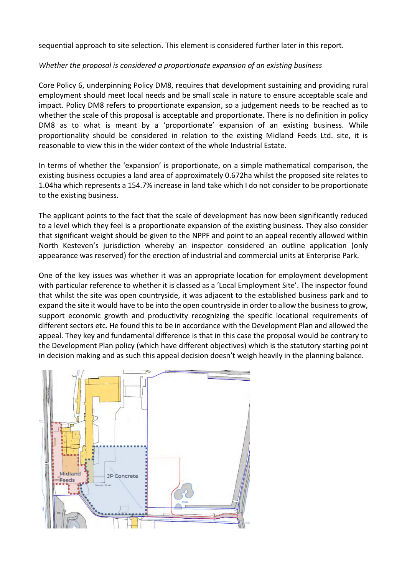sequential approach to site selection. This element is considered further later in this report.

### *Whether the proposal is considered a proportionate expansion of an existing business*

Core Policy 6, underpinning Policy DM8, requires that development sustaining and providing rural employment should meet local needs and be small scale in nature to ensure acceptable scale and impact. Policy DM8 refers to proportionate expansion, so a judgement needs to be reached as to whether the scale of this proposal is acceptable and proportionate. There is no definition in policy DM8 as to what is meant by a 'proportionate' expansion of an existing business. While proportionality should be considered in relation to the existing Midland Feeds Ltd. site, it is reasonable to view this in the wider context of the whole Industrial Estate.

In terms of whether the 'expansion' is proportionate, on a simple mathematical comparison, the existing business occupies a land area of approximately 0.672ha whilst the proposed site relates to 1.04ha which represents a 154.7% increase in land take which I do not consider to be proportionate to the existing business.

The applicant points to the fact that the scale of development has now been significantly reduced to a level which they feel is a proportionate expansion of the existing business. They also consider that significant weight should be given to the NPPF and point to an appeal recently allowed within North Kesteven's jurisdiction whereby an inspector considered an outline application (only appearance was reserved) for the erection of industrial and commercial units at Enterprise Park.

One of the key issues was whether it was an appropriate location for employment development with particular reference to whether it is classed as a 'Local Employment Site'. The inspector found that whilst the site was open countryside, it was adjacent to the established business park and to expand the site it would have to be into the open countryside in order to allow the business to grow, support economic growth and productivity recognizing the specific locational requirements of different sectors etc. He found this to be in accordance with the Development Plan and allowed the appeal. They key and fundamental difference is that in this case the proposal would be contrary to the Development Plan policy (which have different objectives) which is the statutory starting point in decision making and as such this appeal decision doesn't weigh heavily in the planning balance.

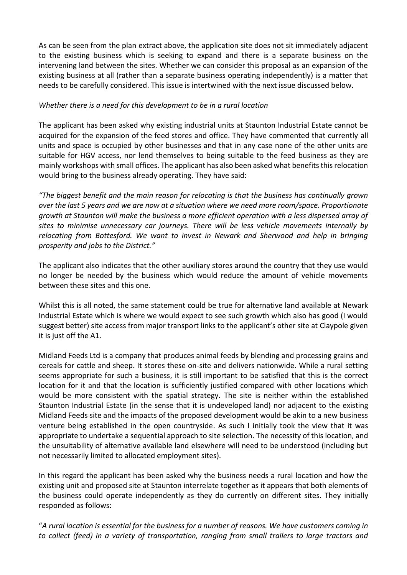As can be seen from the plan extract above, the application site does not sit immediately adjacent to the existing business which is seeking to expand and there is a separate business on the intervening land between the sites. Whether we can consider this proposal as an expansion of the existing business at all (rather than a separate business operating independently) is a matter that needs to be carefully considered. This issue is intertwined with the next issue discussed below.

### *Whether there is a need for this development to be in a rural location*

The applicant has been asked why existing industrial units at Staunton Industrial Estate cannot be acquired for the expansion of the feed stores and office. They have commented that currently all units and space is occupied by other businesses and that in any case none of the other units are suitable for HGV access, nor lend themselves to being suitable to the feed business as they are mainly workshops with small offices. The applicant has also been asked what benefits this relocation would bring to the business already operating. They have said:

*"The biggest benefit and the main reason for relocating is that the business has continually grown over the last 5 years and we are now at a situation where we need more room/space. Proportionate growth at Staunton will make the business a more efficient operation with a less dispersed array of sites to minimise unnecessary car journeys. There will be less vehicle movements internally by relocating from Bottesford. We want to invest in Newark and Sherwood and help in bringing prosperity and jobs to the District."*

The applicant also indicates that the other auxiliary stores around the country that they use would no longer be needed by the business which would reduce the amount of vehicle movements between these sites and this one.

Whilst this is all noted, the same statement could be true for alternative land available at Newark Industrial Estate which is where we would expect to see such growth which also has good (I would suggest better) site access from major transport links to the applicant's other site at Claypole given it is just off the A1.

Midland Feeds Ltd is a company that produces animal feeds by blending and processing grains and cereals for cattle and sheep. It stores these on-site and delivers nationwide. While a rural setting seems appropriate for such a business, it is still important to be satisfied that this is the correct location for it and that the location is sufficiently justified compared with other locations which would be more consistent with the spatial strategy. The site is neither within the established Staunton Industrial Estate (in the sense that it is undeveloped land) nor adjacent to the existing Midland Feeds site and the impacts of the proposed development would be akin to a new business venture being established in the open countryside. As such I initially took the view that it was appropriate to undertake a sequential approach to site selection. The necessity of this location, and the unsuitability of alternative available land elsewhere will need to be understood (including but not necessarily limited to allocated employment sites).

In this regard the applicant has been asked why the business needs a rural location and how the existing unit and proposed site at Staunton interrelate together as it appears that both elements of the business could operate independently as they do currently on different sites. They initially responded as follows:

"*A rural location is essential for the business for a number of reasons. We have customers coming in to collect (feed) in a variety of transportation, ranging from small trailers to large tractors and*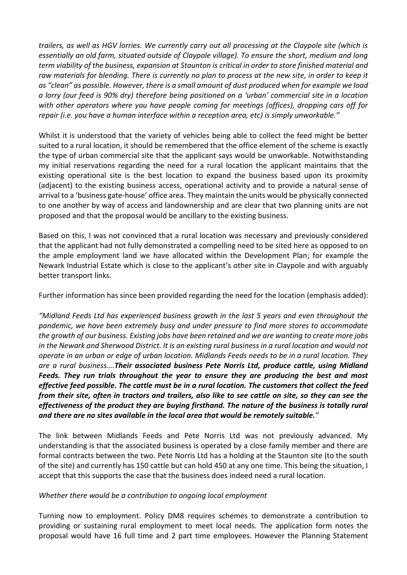*trailers, as well as HGV lorries. We currently carry out all processing at the Claypole site (which is essentially an old farm, situated outside of Claypole village). To ensure the short, medium and long term viability of the business, expansion at Staunton is critical in order to store finished material and raw materials for blending. There is currently no plan to process at the new site, in order to keep it as "clean" as possible. However, there is a small amount of dust produced when for example we load a lorry (our feed is 90% dry) therefore being positioned on a 'urban' commercial site in a location with other operators where you have people coming for meetings (offices), dropping cars off for repair (i.e. you have a human interface within a reception area, etc) is simply unworkable."*

Whilst it is understood that the variety of vehicles being able to collect the feed might be better suited to a rural location, it should be remembered that the office element of the scheme is exactly the type of urban commercial site that the applicant says would be unworkable. Notwithstanding my initial reservations regarding the need for a rural location the applicant maintains that the existing operational site is the best location to expand the business based upon its proximity (adjacent) to the existing business access, operational activity and to provide a natural sense of arrival to a 'business gate-house' office area. They maintain the units would be physically connected to one another by way of access and landownership and are clear that two planning units are not proposed and that the proposal would be ancillary to the existing business.

Based on this, I was not convinced that a rural location was necessary and previously considered that the applicant had not fully demonstrated a compelling need to be sited here as opposed to on the ample employment land we have allocated within the Development Plan; for example the Newark Industrial Estate which is close to the applicant's other site in Claypole and with arguably better transport links.

Further information has since been provided regarding the need for the location (emphasis added):

*"Midland Feeds Ltd has experienced business growth in the last 5 years and even throughout the pandemic, we have been extremely busy and under pressure to find more stores to accommodate the growth of our business. Existing jobs have been retained and we are wanting to create more jobs in the Newark and Sherwood District. It is an existing rural business in a rural location and would not operate in an urban or edge of urban location. Midlands Feeds needs to be in a rural location. They are a rural business….Their associated business Pete Norris Ltd, produce cattle, using Midland Feeds. They run trials throughout the year to ensure they are producing the best and most effective feed possible. The cattle must be in a rural location. The customers that collect the feed from their site, often in tractors and trailers, also like to see cattle on site, so they can see the effectiveness of the product they are buying firsthand. The nature of the business is totally rural and there are no sites available in the local area that would be remotely suitable."*

The link between Midlands Feeds and Pete Norris Ltd was not previously advanced. My understanding is that the associated business is operated by a close family member and there are formal contracts between the two. Pete Norris Ltd has a holding at the Staunton site (to the south of the site) and currently has 150 cattle but can hold 450 at any one time. This being the situation, I accept that this supports the case that the business does indeed need a rural location.

#### *Whether there would be a contribution to ongoing local employment*

Turning now to employment. Policy DM8 requires schemes to demonstrate a contribution to providing or sustaining rural employment to meet local needs. The application form notes the proposal would have 16 full time and 2 part time employees. However the Planning Statement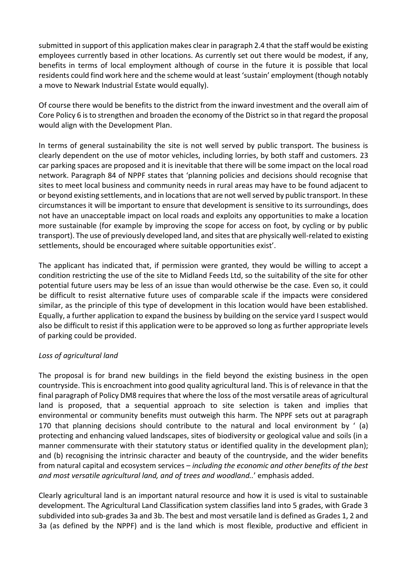submitted in support of this application makes clear in paragraph 2.4 that the staff would be existing employees currently based in other locations. As currently set out there would be modest, if any, benefits in terms of local employment although of course in the future it is possible that local residents could find work here and the scheme would at least 'sustain' employment (though notably a move to Newark Industrial Estate would equally).

Of course there would be benefits to the district from the inward investment and the overall aim of Core Policy 6 is to strengthen and broaden the economy of the District so in that regard the proposal would align with the Development Plan.

In terms of general sustainability the site is not well served by public transport. The business is clearly dependent on the use of motor vehicles, including lorries, by both staff and customers. 23 car parking spaces are proposed and it is inevitable that there will be some impact on the local road network. Paragraph 84 of NPPF states that 'planning policies and decisions should recognise that sites to meet local business and community needs in rural areas may have to be found adjacent to or beyond existing settlements, and in locations that are not well served by public transport. In these circumstances it will be important to ensure that development is sensitive to its surroundings, does not have an unacceptable impact on local roads and exploits any opportunities to make a location more sustainable (for example by improving the scope for access on foot, by cycling or by public transport). The use of previously developed land, and sites that are physically well-related to existing settlements, should be encouraged where suitable opportunities exist'.

The applicant has indicated that, if permission were granted, they would be willing to accept a condition restricting the use of the site to Midland Feeds Ltd, so the suitability of the site for other potential future users may be less of an issue than would otherwise be the case. Even so, it could be difficult to resist alternative future uses of comparable scale if the impacts were considered similar, as the principle of this type of development in this location would have been established. Equally, a further application to expand the business by building on the service yard I suspect would also be difficult to resist if this application were to be approved so long as further appropriate levels of parking could be provided.

# *Loss of agricultural land*

The proposal is for brand new buildings in the field beyond the existing business in the open countryside. This is encroachment into good quality agricultural land. This is of relevance in that the final paragraph of Policy DM8 requires that where the loss of the most versatile areas of agricultural land is proposed, that a sequential approach to site selection is taken and implies that environmental or community benefits must outweigh this harm. The NPPF sets out at paragraph 170 that planning decisions should contribute to the natural and local environment by ' (a) protecting and enhancing valued landscapes, sites of biodiversity or geological value and soils (in a manner commensurate with their statutory status or identified quality in the development plan); and (b) recognising the intrinsic character and beauty of the countryside, and the wider benefits from natural capital and ecosystem services – *including the economic and other benefits of the best and most versatile agricultural land, and of trees and woodland..*' emphasis added.

Clearly agricultural land is an important natural resource and how it is used is vital to sustainable development. The Agricultural Land Classification system classifies land into 5 grades, with Grade 3 subdivided into sub-grades 3a and 3b. The best and most versatile land is defined as Grades 1, 2 and 3a (as defined by the NPPF) and is the land which is most flexible, productive and efficient in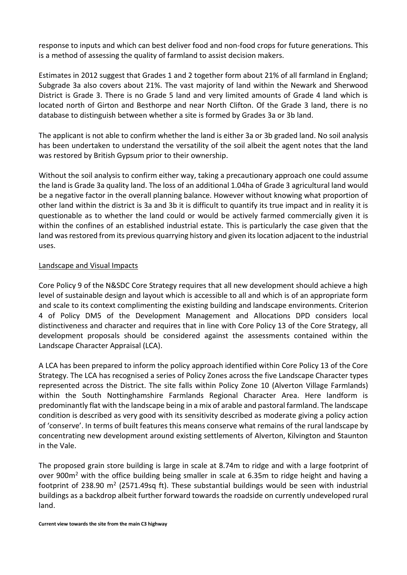response to inputs and which can best deliver food and non-food crops for future generations. This is a method of assessing the quality of farmland to assist decision makers.

Estimates in 2012 suggest that Grades 1 and 2 together form about 21% of all farmland in England; Subgrade 3a also covers about 21%. The vast majority of land within the Newark and Sherwood District is Grade 3. There is no Grade 5 land and very limited amounts of Grade 4 land which is located north of Girton and Besthorpe and near North Clifton. Of the Grade 3 land, there is no database to distinguish between whether a site is formed by Grades 3a or 3b land.

The applicant is not able to confirm whether the land is either 3a or 3b graded land. No soil analysis has been undertaken to understand the versatility of the soil albeit the agent notes that the land was restored by British Gypsum prior to their ownership.

Without the soil analysis to confirm either way, taking a precautionary approach one could assume the land is Grade 3a quality land. The loss of an additional 1.04ha of Grade 3 agricultural land would be a negative factor in the overall planning balance. However without knowing what proportion of other land within the district is 3a and 3b it is difficult to quantify its true impact and in reality it is questionable as to whether the land could or would be actively farmed commercially given it is within the confines of an established industrial estate. This is particularly the case given that the land was restored from its previous quarrying history and given its location adjacent to the industrial uses.

### Landscape and Visual Impacts

Core Policy 9 of the N&SDC Core Strategy requires that all new development should achieve a high level of sustainable design and layout which is accessible to all and which is of an appropriate form and scale to its context complimenting the existing building and landscape environments. Criterion 4 of Policy DM5 of the Development Management and Allocations DPD considers local distinctiveness and character and requires that in line with Core Policy 13 of the Core Strategy, all development proposals should be considered against the assessments contained within the Landscape Character Appraisal (LCA).

A LCA has been prepared to inform the policy approach identified within Core Policy 13 of the Core Strategy. The LCA has recognised a series of Policy Zones across the five Landscape Character types represented across the District. The site falls within Policy Zone 10 (Alverton Village Farmlands) within the South Nottinghamshire Farmlands Regional Character Area. Here landform is predominantly flat with the landscape being in a mix of arable and pastoral farmland. The landscape condition is described as very good with its sensitivity described as moderate giving a policy action of 'conserve'. In terms of built features this means conserve what remains of the rural landscape by concentrating new development around existing settlements of Alverton, Kilvington and Staunton in the Vale.

The proposed grain store building is large in scale at 8.74m to ridge and with a large footprint of over 900m<sup>2</sup> with the office building being smaller in scale at 6.35m to ridge height and having a footprint of 238.90 m<sup>2</sup> (2571.49sq ft). These substantial buildings would be seen with industrial buildings as a backdrop albeit further forward towards the roadside on currently undeveloped rural land.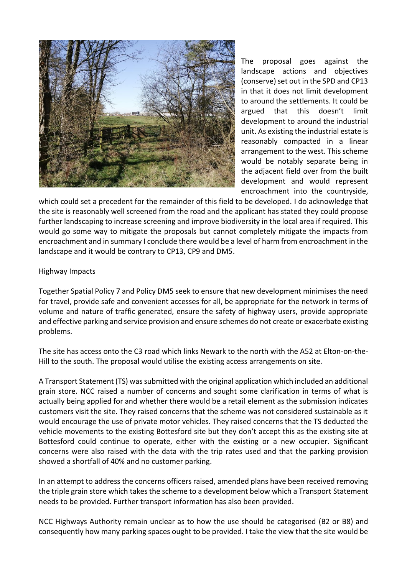

The proposal goes against the landscape actions and objectives (conserve) set out in the SPD and CP13 in that it does not limit development to around the settlements. It could be argued that this doesn't limit development to around the industrial unit. As existing the industrial estate is reasonably compacted in a linear arrangement to the west. This scheme would be notably separate being in the adjacent field over from the built development and would represent encroachment into the countryside,

which could set a precedent for the remainder of this field to be developed. I do acknowledge that the site is reasonably well screened from the road and the applicant has stated they could propose further landscaping to increase screening and improve biodiversity in the local area if required. This would go some way to mitigate the proposals but cannot completely mitigate the impacts from encroachment and in summary I conclude there would be a level of harm from encroachment in the landscape and it would be contrary to CP13, CP9 and DM5.

#### Highway Impacts

Together Spatial Policy 7 and Policy DM5 seek to ensure that new development minimises the need for travel, provide safe and convenient accesses for all, be appropriate for the network in terms of volume and nature of traffic generated, ensure the safety of highway users, provide appropriate and effective parking and service provision and ensure schemes do not create or exacerbate existing problems.

The site has access onto the C3 road which links Newark to the north with the A52 at Elton-on-the-Hill to the south. The proposal would utilise the existing access arrangements on site.

A Transport Statement (TS) was submitted with the original application which included an additional grain store. NCC raised a number of concerns and sought some clarification in terms of what is actually being applied for and whether there would be a retail element as the submission indicates customers visit the site. They raised concerns that the scheme was not considered sustainable as it would encourage the use of private motor vehicles. They raised concerns that the TS deducted the vehicle movements to the existing Bottesford site but they don't accept this as the existing site at Bottesford could continue to operate, either with the existing or a new occupier. Significant concerns were also raised with the data with the trip rates used and that the parking provision showed a shortfall of 40% and no customer parking.

In an attempt to address the concerns officers raised, amended plans have been received removing the triple grain store which takes the scheme to a development below which a Transport Statement needs to be provided. Further transport information has also been provided.

NCC Highways Authority remain unclear as to how the use should be categorised (B2 or B8) and consequently how many parking spaces ought to be provided. I take the view that the site would be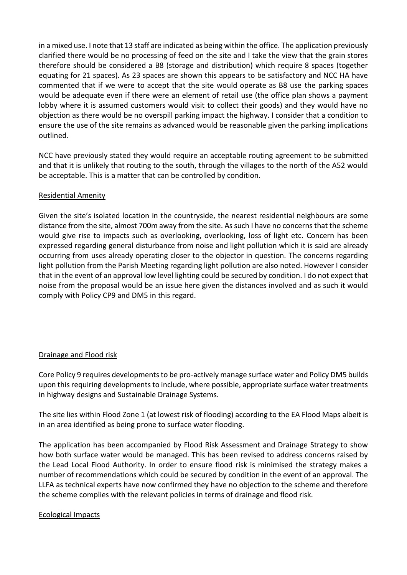in a mixed use. I note that 13 staff are indicated as being within the office. The application previously clarified there would be no processing of feed on the site and I take the view that the grain stores therefore should be considered a B8 (storage and distribution) which require 8 spaces (together equating for 21 spaces). As 23 spaces are shown this appears to be satisfactory and NCC HA have commented that if we were to accept that the site would operate as B8 use the parking spaces would be adequate even if there were an element of retail use (the office plan shows a payment lobby where it is assumed customers would visit to collect their goods) and they would have no objection as there would be no overspill parking impact the highway. I consider that a condition to ensure the use of the site remains as advanced would be reasonable given the parking implications outlined.

NCC have previously stated they would require an acceptable routing agreement to be submitted and that it is unlikely that routing to the south, through the villages to the north of the A52 would be acceptable. This is a matter that can be controlled by condition.

### Residential Amenity

Given the site's isolated location in the countryside, the nearest residential neighbours are some distance from the site, almost 700m away from the site. As such I have no concerns that the scheme would give rise to impacts such as overlooking, overlooking, loss of light etc. Concern has been expressed regarding general disturbance from noise and light pollution which it is said are already occurring from uses already operating closer to the objector in question. The concerns regarding light pollution from the Parish Meeting regarding light pollution are also noted. However I consider that in the event of an approval low level lighting could be secured by condition. I do not expect that noise from the proposal would be an issue here given the distances involved and as such it would comply with Policy CP9 and DM5 in this regard.

#### Drainage and Flood risk

Core Policy 9 requires developments to be pro-actively manage surface water and Policy DM5 builds upon this requiring developments to include, where possible, appropriate surface water treatments in highway designs and Sustainable Drainage Systems.

The site lies within Flood Zone 1 (at lowest risk of flooding) according to the EA Flood Maps albeit is in an area identified as being prone to surface water flooding.

The application has been accompanied by Flood Risk Assessment and Drainage Strategy to show how both surface water would be managed. This has been revised to address concerns raised by the Lead Local Flood Authority. In order to ensure flood risk is minimised the strategy makes a number of recommendations which could be secured by condition in the event of an approval. The LLFA as technical experts have now confirmed they have no objection to the scheme and therefore the scheme complies with the relevant policies in terms of drainage and flood risk.

#### Ecological Impacts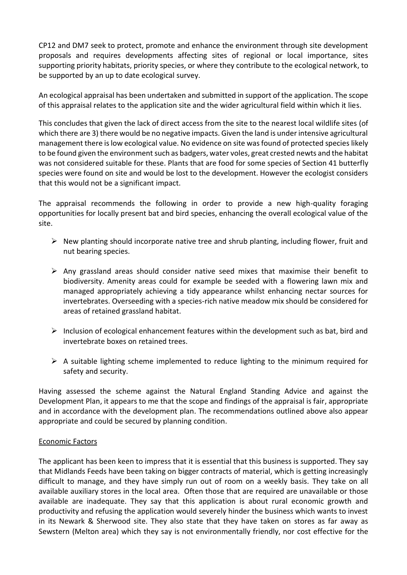CP12 and DM7 seek to protect, promote and enhance the environment through site development proposals and requires developments affecting sites of regional or local importance, sites supporting priority habitats, priority species, or where they contribute to the ecological network, to be supported by an up to date ecological survey.

An ecological appraisal has been undertaken and submitted in support of the application. The scope of this appraisal relates to the application site and the wider agricultural field within which it lies.

This concludes that given the lack of direct access from the site to the nearest local wildlife sites (of which there are 3) there would be no negative impacts. Given the land is under intensive agricultural management there is low ecological value. No evidence on site was found of protected species likely to be found given the environment such as badgers, water voles, great crested newts and the habitat was not considered suitable for these. Plants that are food for some species of Section 41 butterfly species were found on site and would be lost to the development. However the ecologist considers that this would not be a significant impact.

The appraisal recommends the following in order to provide a new high-quality foraging opportunities for locally present bat and bird species, enhancing the overall ecological value of the site.

- $\triangleright$  New planting should incorporate native tree and shrub planting, including flower, fruit and nut bearing species.
- $\triangleright$  Any grassland areas should consider native seed mixes that maximise their benefit to biodiversity. Amenity areas could for example be seeded with a flowering lawn mix and managed appropriately achieving a tidy appearance whilst enhancing nectar sources for invertebrates. Overseeding with a species-rich native meadow mix should be considered for areas of retained grassland habitat.
- $\triangleright$  Inclusion of ecological enhancement features within the development such as bat, bird and invertebrate boxes on retained trees.
- $\triangleright$  A suitable lighting scheme implemented to reduce lighting to the minimum required for safety and security.

Having assessed the scheme against the Natural England Standing Advice and against the Development Plan, it appears to me that the scope and findings of the appraisal is fair, appropriate and in accordance with the development plan. The recommendations outlined above also appear appropriate and could be secured by planning condition.

# Economic Factors

The applicant has been keen to impress that it is essential that this business is supported. They say that Midlands Feeds have been taking on bigger contracts of material, which is getting increasingly difficult to manage, and they have simply run out of room on a weekly basis. They take on all available auxiliary stores in the local area. Often those that are required are unavailable or those available are inadequate. They say that this application is about rural economic growth and productivity and refusing the application would severely hinder the business which wants to invest in its Newark & Sherwood site. They also state that they have taken on stores as far away as Sewstern (Melton area) which they say is not environmentally friendly, nor cost effective for the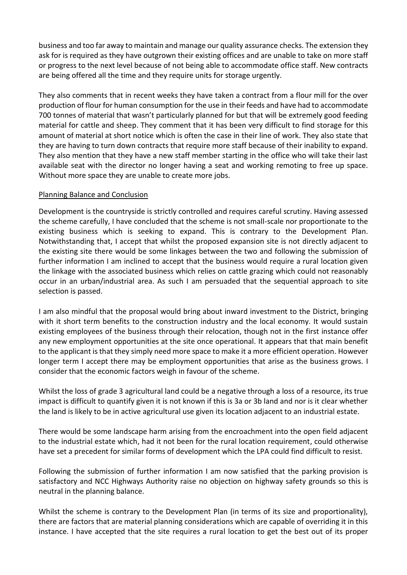business and too far away to maintain and manage our quality assurance checks. The extension they ask for is required as they have outgrown their existing offices and are unable to take on more staff or progress to the next level because of not being able to accommodate office staff. New contracts are being offered all the time and they require units for storage urgently.

They also comments that in recent weeks they have taken a contract from a flour mill for the over production of flour for human consumption for the use in their feeds and have had to accommodate 700 tonnes of material that wasn't particularly planned for but that will be extremely good feeding material for cattle and sheep. They comment that it has been very difficult to find storage for this amount of material at short notice which is often the case in their line of work. They also state that they are having to turn down contracts that require more staff because of their inability to expand. They also mention that they have a new staff member starting in the office who will take their last available seat with the director no longer having a seat and working remoting to free up space. Without more space they are unable to create more jobs.

### Planning Balance and Conclusion

Development is the countryside is strictly controlled and requires careful scrutiny. Having assessed the scheme carefully, I have concluded that the scheme is not small-scale nor proportionate to the existing business which is seeking to expand. This is contrary to the Development Plan. Notwithstanding that, I accept that whilst the proposed expansion site is not directly adjacent to the existing site there would be some linkages between the two and following the submission of further information I am inclined to accept that the business would require a rural location given the linkage with the associated business which relies on cattle grazing which could not reasonably occur in an urban/industrial area. As such I am persuaded that the sequential approach to site selection is passed.

I am also mindful that the proposal would bring about inward investment to the District, bringing with it short term benefits to the construction industry and the local economy. It would sustain existing employees of the business through their relocation, though not in the first instance offer any new employment opportunities at the site once operational. It appears that that main benefit to the applicant is that they simply need more space to make it a more efficient operation. However longer term I accept there may be employment opportunities that arise as the business grows. I consider that the economic factors weigh in favour of the scheme.

Whilst the loss of grade 3 agricultural land could be a negative through a loss of a resource, its true impact is difficult to quantify given it is not known if this is 3a or 3b land and nor is it clear whether the land is likely to be in active agricultural use given its location adjacent to an industrial estate.

There would be some landscape harm arising from the encroachment into the open field adjacent to the industrial estate which, had it not been for the rural location requirement, could otherwise have set a precedent for similar forms of development which the LPA could find difficult to resist.

Following the submission of further information I am now satisfied that the parking provision is satisfactory and NCC Highways Authority raise no objection on highway safety grounds so this is neutral in the planning balance.

Whilst the scheme is contrary to the Development Plan (in terms of its size and proportionality), there are factors that are material planning considerations which are capable of overriding it in this instance. I have accepted that the site requires a rural location to get the best out of its proper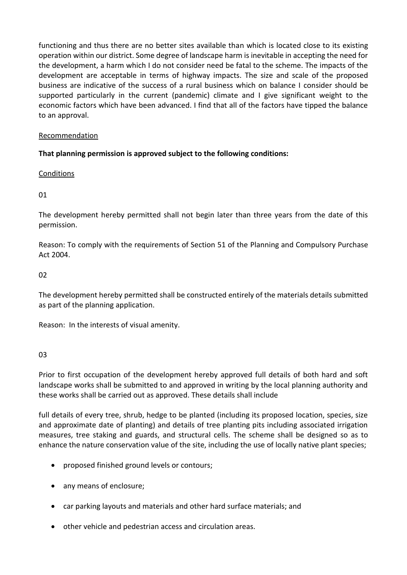functioning and thus there are no better sites available than which is located close to its existing operation within our district. Some degree of landscape harm is inevitable in accepting the need for the development, a harm which I do not consider need be fatal to the scheme. The impacts of the development are acceptable in terms of highway impacts. The size and scale of the proposed business are indicative of the success of a rural business which on balance I consider should be supported particularly in the current (pandemic) climate and I give significant weight to the economic factors which have been advanced. I find that all of the factors have tipped the balance to an approval.

# Recommendation

# **That planning permission is approved subject to the following conditions:**

**Conditions** 

01

The development hereby permitted shall not begin later than three years from the date of this permission.

Reason: To comply with the requirements of Section 51 of the Planning and Compulsory Purchase Act 2004.

 $02$ 

The development hereby permitted shall be constructed entirely of the materials details submitted as part of the planning application.

Reason: In the interests of visual amenity.

03

Prior to first occupation of the development hereby approved full details of both hard and soft landscape works shall be submitted to and approved in writing by the local planning authority and these works shall be carried out as approved. These details shall include

full details of every tree, shrub, hedge to be planted (including its proposed location, species, size and approximate date of planting) and details of tree planting pits including associated irrigation measures, tree staking and guards, and structural cells. The scheme shall be designed so as to enhance the nature conservation value of the site, including the use of locally native plant species;

- proposed finished ground levels or contours;
- any means of enclosure;
- car parking layouts and materials and other hard surface materials; and
- other vehicle and pedestrian access and circulation areas.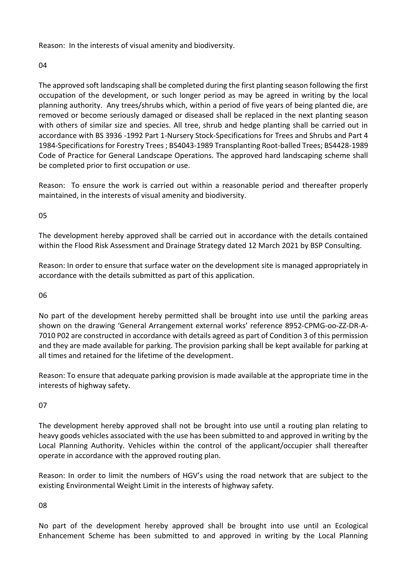Reason: In the interests of visual amenity and biodiversity.

04

The approved soft landscaping shall be completed during the first planting season following the first occupation of the development, or such longer period as may be agreed in writing by the local planning authority. Any trees/shrubs which, within a period of five years of being planted die, are removed or become seriously damaged or diseased shall be replaced in the next planting season with others of similar size and species. All tree, shrub and hedge planting shall be carried out in accordance with BS 3936 -1992 Part 1-Nursery Stock-Specifications for Trees and Shrubs and Part 4 1984-Specificationsfor Forestry Trees ; BS4043-1989 Transplanting Root-balled Trees; BS4428-1989 Code of Practice for General Landscape Operations. The approved hard landscaping scheme shall be completed prior to first occupation or use.

Reason: To ensure the work is carried out within a reasonable period and thereafter properly maintained, in the interests of visual amenity and biodiversity.

05

The development hereby approved shall be carried out in accordance with the details contained within the Flood Risk Assessment and Drainage Strategy dated 12 March 2021 by BSP Consulting.

Reason: In order to ensure that surface water on the development site is managed appropriately in accordance with the details submitted as part of this application.

06

No part of the development hereby permitted shall be brought into use until the parking areas shown on the drawing 'General Arrangement external works' reference 8952-CPMG-oo-ZZ-DR-A-7010 P02 are constructed in accordance with details agreed as part of Condition 3 of this permission and they are made available for parking. The provision parking shall be kept available for parking at all times and retained for the lifetime of the development.

Reason: To ensure that adequate parking provision is made available at the appropriate time in the interests of highway safety.

07

The development hereby approved shall not be brought into use until a routing plan relating to heavy goods vehicles associated with the use has been submitted to and approved in writing by the Local Planning Authority. Vehicles within the control of the applicant/occupier shall thereafter operate in accordance with the approved routing plan.

Reason: In order to limit the numbers of HGV's using the road network that are subject to the existing Environmental Weight Limit in the interests of highway safety.

08

No part of the development hereby approved shall be brought into use until an Ecological Enhancement Scheme has been submitted to and approved in writing by the Local Planning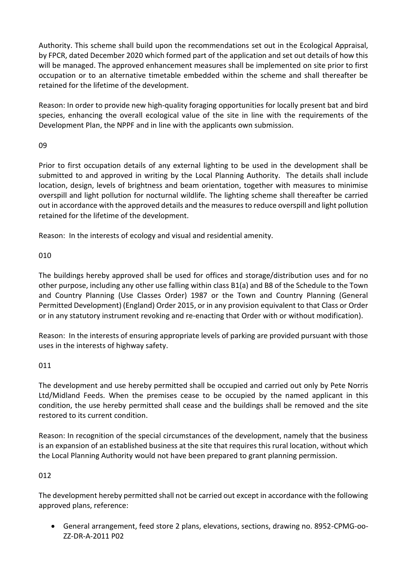Authority. This scheme shall build upon the recommendations set out in the Ecological Appraisal, by FPCR, dated December 2020 which formed part of the application and set out details of how this will be managed. The approved enhancement measures shall be implemented on site prior to first occupation or to an alternative timetable embedded within the scheme and shall thereafter be retained for the lifetime of the development.

Reason: In order to provide new high-quality foraging opportunities for locally present bat and bird species, enhancing the overall ecological value of the site in line with the requirements of the Development Plan, the NPPF and in line with the applicants own submission.

# 09

Prior to first occupation details of any external lighting to be used in the development shall be submitted to and approved in writing by the Local Planning Authority. The details shall include location, design, levels of brightness and beam orientation, together with measures to minimise overspill and light pollution for nocturnal wildlife. The lighting scheme shall thereafter be carried out in accordance with the approved details and the measures to reduce overspill and light pollution retained for the lifetime of the development.

Reason: In the interests of ecology and visual and residential amenity.

# 010

The buildings hereby approved shall be used for offices and storage/distribution uses and for no other purpose, including any other use falling within class B1(a) and B8 of the Schedule to the Town and Country Planning (Use Classes Order) 1987 or the Town and Country Planning (General Permitted Development) (England) Order 2015, or in any provision equivalent to that Class or Order or in any statutory instrument revoking and re-enacting that Order with or without modification).

Reason: In the interests of ensuring appropriate levels of parking are provided pursuant with those uses in the interests of highway safety.

# 011

The development and use hereby permitted shall be occupied and carried out only by Pete Norris Ltd/Midland Feeds. When the premises cease to be occupied by the named applicant in this condition, the use hereby permitted shall cease and the buildings shall be removed and the site restored to its current condition.

Reason: In recognition of the special circumstances of the development, namely that the business is an expansion of an established business at the site that requires this rural location, without which the Local Planning Authority would not have been prepared to grant planning permission.

# 012

The development hereby permitted shall not be carried out except in accordance with the following approved plans, reference:

 General arrangement, feed store 2 plans, elevations, sections, drawing no. 8952-CPMG-oo-ZZ-DR-A-2011 P02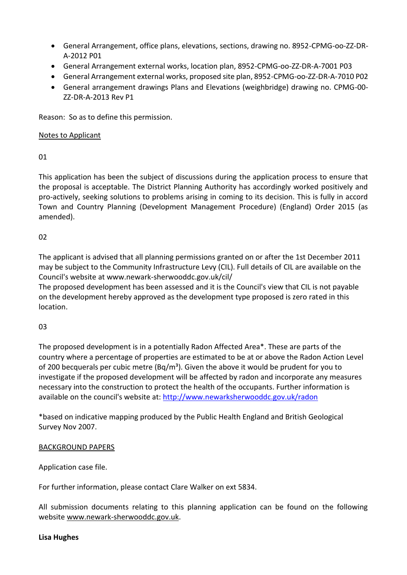- General Arrangement, office plans, elevations, sections, drawing no. 8952-CPMG-oo-ZZ-DR-A-2012 P01
- General Arrangement external works, location plan, 8952-CPMG-oo-ZZ-DR-A-7001 P03
- General Arrangement external works, proposed site plan, 8952-CPMG-oo-ZZ-DR-A-7010 P02
- General arrangement drawings Plans and Elevations (weighbridge) drawing no. CPMG-00- ZZ-DR-A-2013 Rev P1

Reason: So as to define this permission.

### Notes to Applicant

01

This application has been the subject of discussions during the application process to ensure that the proposal is acceptable. The District Planning Authority has accordingly worked positively and pro-actively, seeking solutions to problems arising in coming to its decision. This is fully in accord Town and Country Planning (Development Management Procedure) (England) Order 2015 (as amended).

# 02

The applicant is advised that all planning permissions granted on or after the 1st December 2011 may be subject to the Community Infrastructure Levy (CIL). Full details of CIL are available on the Council's website at www.newark-sherwooddc.gov.uk/cil/ The proposed development has been assessed and it is the Council's view that CIL is not payable

on the development hereby approved as the development type proposed is zero rated in this location.

# 03

The proposed development is in a potentially Radon Affected Area\*. These are parts of the country where a percentage of properties are estimated to be at or above the Radon Action Level of 200 becquerals per cubic metre ( $Bq/m<sup>3</sup>$ ). Given the above it would be prudent for you to investigate if the proposed development will be affected by radon and incorporate any measures necessary into the construction to protect the health of the occupants. Further information is available on the council's website at:<http://www.newarksherwooddc.gov.uk/radon>

\*based on indicative mapping produced by the Public Health England and British Geological Survey Nov 2007.

# BACKGROUND PAPERS

Application case file.

For further information, please contact Clare Walker on ext 5834.

All submission documents relating to this planning application can be found on the following websit[e www.newark-sherwooddc.gov.uk.](http://www.newark-sherwooddc.gov.uk/)

#### **Lisa Hughes**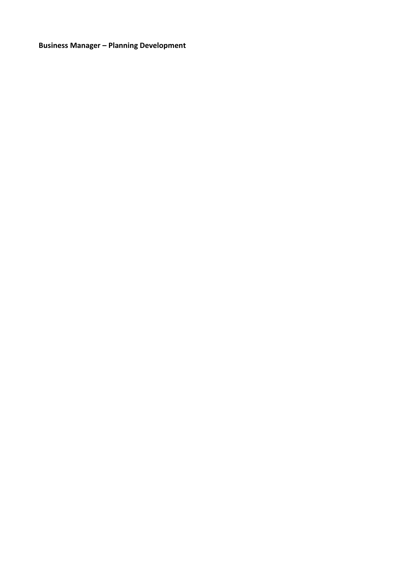**Business Manager – Planning Development**